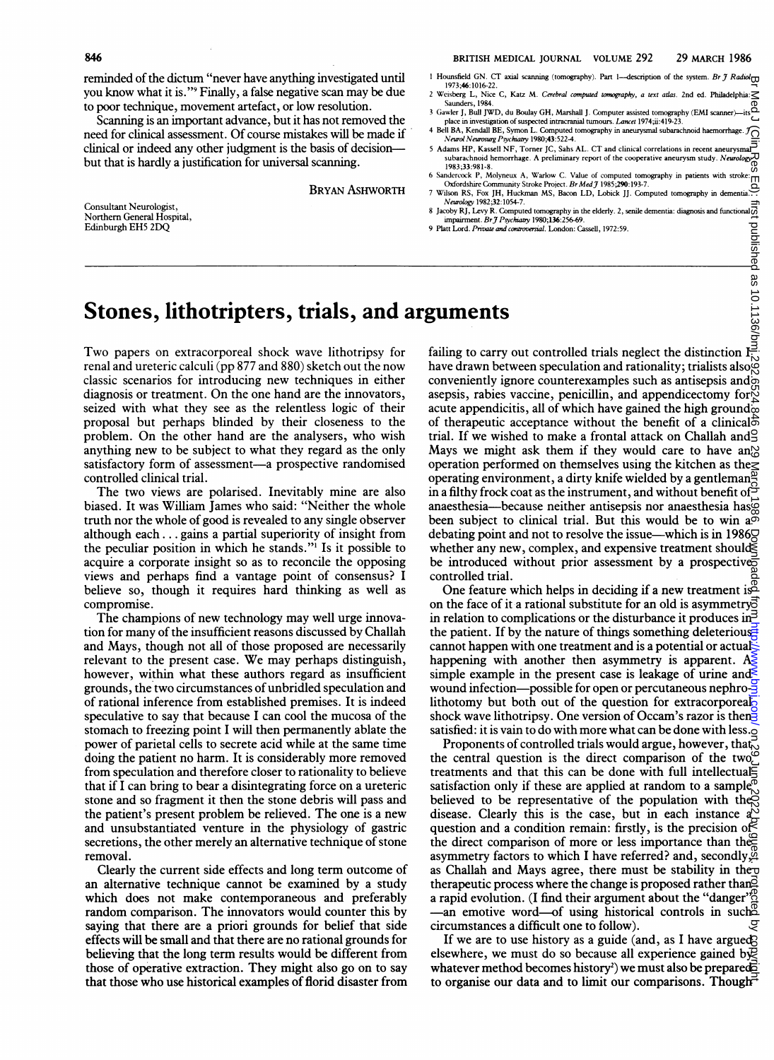reminded of the dictum "never have anything investigated until you know what it is."9 Finally, a false negative scan may be due to poor technique, movement artefact, or low resolution.

Scanning is an important advance, but it has not removed the need for clinical assessment. Of course mistakes will be made if clinical or indeed any other judgment is the basis of decisionbut that is hardly a justification for universal scanning.

BRYAN ASHWORTH

Consultant Neurologist, Northern General Hospital, Edinburgh EH5 2DQ

- 1 Hounsfield GN. CT axial scanning (tomography). Part 1-description of the system. Br  $\mathcal{J}$  Radiol $\Box$ 1973;46:1016-22.
- 2 Weisberg L, Nice C, Katz M. Cerebral computed tomography, a text atlas. 2nd ed. Philadelphia: Saunders, 1984.
- 3 Gawler J, Bull JWD, du Boulay GH, Marshall J. Computer assisted tomography (EMI sca place in investigation of suspected intracranial tumours. Lancet 1974;ii:419-23.
- 4 Bell BA, Kendall BE, Symon L. Computed tomography in aneurysmal subarachnoid haemorrhage. J<br>Neurol Neurosurg Psychiatry 1980;43:522-4. 5 Adams HP, Kassell NF, Torner JC, Sahs AL. CT and clinical correlations in recent aneurysmal<sup>5</sup>
- subarachnoid hemorrhage. A preliminary report of the cooperative aneurysm study. Neu 1983;33:981-8. <sup>6</sup> Sandercok P, Moynu A, Warlow C. Value of computed tomography in patients with stroke:
- Oxfordshire Community Stroke Project. Br Med J 1985;290:193-7. 7 Wilson RS, Fox JH, Huckman MS, Bacon LD, Lobick JJ. Computed omogrphy in dementia. Neuralogy 1982;32:1054-7.
- 8 Jacoby RJ, Levy R. Computed tomography in the elderly. 2, senile dementia: diagnosis and functional p<br>| impairment. Br J Psychiatry 1980;136:256-69.
- 9 Platt Lord. Private and controversial. London: Cassell, 1972:59.

## Stones, lithotripters, trials, and arguments

Two papers on extracorporeal shock wave lithotripsy for renal and ureteric calculi (pp 877 and 880) sketch out the now classic scenarios for introducing new techniques in either diagnosis or treatment. On the one hand are the innovators, seized with what they see as the relentless logic of their proposal but perhaps blinded by their closeness to the problem., On the other hand are the analysers, who wish anything new to be subject to what they regard as the only satisfactory form of assessment-a prospective randomised controlled clinical trial.

The two views are polarised. Inevitably mine are also biased. It was Wiliam James who said: "Neither the whole truth nor the whole of good is revealed to any single observer although each... gains a partial superiority of insight from the peculiar position in which he stands."' Is it possible to acquire a corporate insight so as to reconcile the opposing views and perhaps find a vantage point of consensus? <sup>I</sup> believe so, though it requires hard thinking as well as compromise.

The champions of new technology may well urge innovation for many of the insufficient reasons discussed by Challah and Mays, though not all of those proposed are necessarily relevant to the present case. We may perhaps distinguish, however, within what these authors regard as insufficient grounds, the two circumstances of unbridled speculation and of rational inference from established premises. It is indeed speculative to say that because <sup>I</sup> can cool the mucosa of the stomach to freezing point <sup>I</sup> will then permanently ablate the power of parietal cells to secrete acid while at the same time doing the patient no harm. It is considerably more removed from speculation and therefore closer to rationality to believe that if <sup>I</sup> can bring to bear a disintegrating force on a ureteric stone and so fragment it then the stone debris will pass and the patient's present problem be relieved. The one is <sup>a</sup> new and unsubstantiated venture in the physiology of gastric secretions, the other merely an alternative technique of stone removal.

Clearly the current side effects and long term outcome of an alternative technique cannot be examined by a study which does not make contemporaneous and preferably random comparison. The innovators would counter this by saying that there are a priori grounds for belief that side effects will be small and that there are no rational grounds for believing that the long term results would be different from those of operative extraction. They might also go on to say that those who use historical examples of florid disaster from failing to carry out controlled trials neglect the distinction  $I^{\frac{3}{2}}$ have drawn between speculation and rationality; trialists also  $\frac{1}{2}$ conveniently ignore counterexamples such as antisepsis and asepsis, rabies vaccine, penicillin, and appendicectomy for acute appendicitis, all of which have gained the high ground $\overline{\omega}$ of therapeutic acceptance without the benefit of a clinical trial. If we wished to make a frontal attack on Challah and Mays we might ask them if they would care to have an $\%$ operation performed on themselves using the kitchen as the operating environment, a dirty knife wielded by a gentleman<sup>g</sup> in a filthy frock coat as the instrument, and without benefit of  $\frac{1}{2}$ anaesthesia-because neither antisepsis nor anaesthesia has been subject to clinical trial. But this would be to win a<sup>o</sup> debating point and not to resolve the issue—which is in 1986 $\Box$ whether any new, complex, and expensive treatment should $\breve{\equiv}$ be introduced without prior assessment by a prospectives controlled trial. <sup>1</sup> Whole size.<br>
We have the set of the set of the set of the set of the set of the set of the set of the set of the set of the set of the set of the set of the set of the set of the set of the set of the set of the set

One feature which helps in deciding if a new treatment is on the face of it a rational substitute for an old is asymmetry in relation to complications or the disturbance it produces in  $\geq$ the patient. If by the nature of things something deleterious. cannot happen with one treatment and is a potential or actualhappening with another then asymmetry is apparent.  $A \geqslant$ simple example in the present case is leakage of urine and  $\leq$ wound infection-possible for open or percutaneous nephro- $\frac{3}{2}$ lithotomy but both out of the question for extracorporeal. shock wave lithotripsy. One version of Occam's razor is then satisfied: it is vain to do with more what can be done with less. $\tilde{Q}$ 

 $\Gamma$ Proponents of controlled trials would argue, however, that the central question is the direct comparison of the two treatments and that this can be done with full intellectual satisfaction only if these are applied at random to a sample believed to be representative of the population with the disease. Clearly this is the case, but in each instance a question and a condition remain: firstly, is the precision of the direct comparison of more or less importance than the asymmetry factors to which <sup>I</sup> have referred? and, secondly, as Challah and Mays agree, there must be stability in the $\overline{a}$ therapeutic process where the change is proposed rather than a rapid evolution. (I find their argument about the "danger" $\frac{8}{10}$  $-$ an emotive word—of using historical controls in such circumstances a difficult one to follow).

If we are to use history as a guide (and, as I have argued? elsewhere, we must do so because all experience gained  $\overline{b}$ whatever method becomes history<sup>2</sup>) we must also be prepared